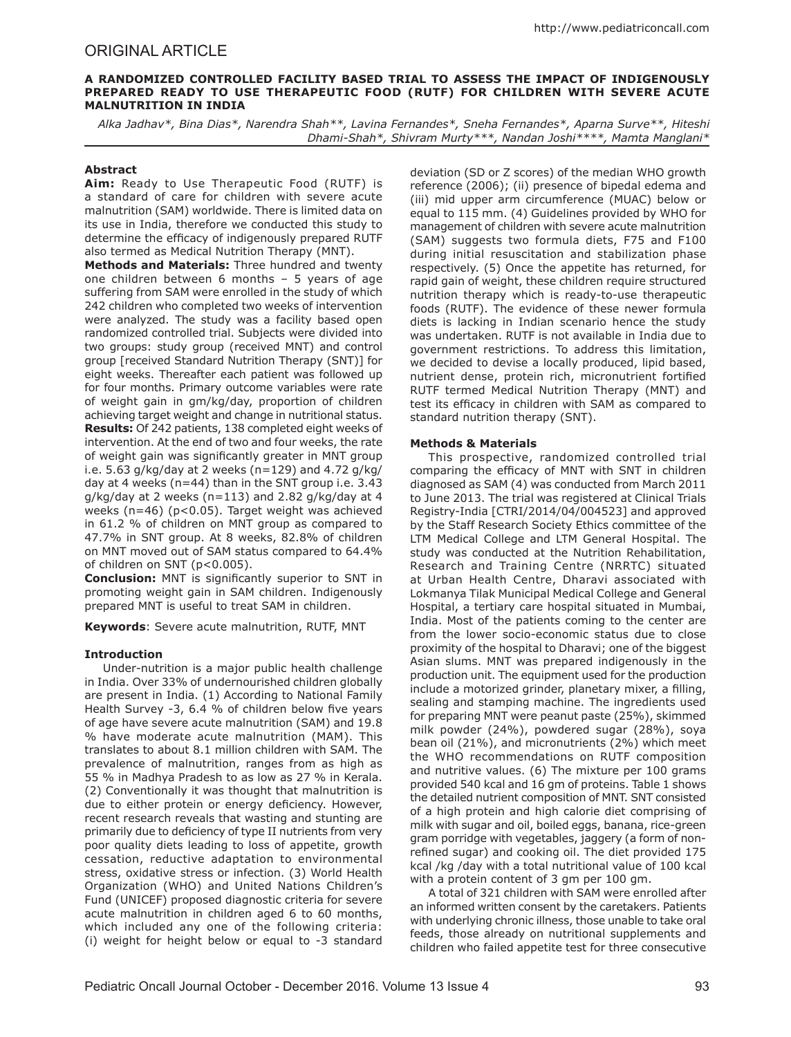# ORIGINAL ARTICLE

## **A RANDOMIZED CONTROLLED FACILITY BASED TRIAL TO ASSESS THE IMPACT OF INDIGENOUSLY PREPARED READY TO USE THERAPEUTIC FOOD (RUTF) FOR CHILDREN WITH SEVERE ACUTE MALNUTRITION IN INDIA**

*Alka Jadhav\*, Bina Dias\*, Narendra Shah\*\*, Lavina Fernandes\*, Sneha Fernandes\*, Aparna Surve\*\*, Hiteshi Dhami-Shah\*, Shivram Murty\*\*\*, Nandan Joshi\*\*\*\*, Mamta Manglani\**

## **Abstract**

**Aim:** Ready to Use Therapeutic Food (RUTF) is a standard of care for children with severe acute malnutrition (SAM) worldwide. There is limited data on its use in India, therefore we conducted this study to determine the efficacy of indigenously prepared RUTF also termed as Medical Nutrition Therapy (MNT).

**Methods and Materials:** Three hundred and twenty one children between 6 months – 5 years of age suffering from SAM were enrolled in the study of which 242 children who completed two weeks of intervention were analyzed. The study was a facility based open randomized controlled trial. Subjects were divided into two groups: study group (received MNT) and control group [received Standard Nutrition Therapy (SNT)] for eight weeks. Thereafter each patient was followed up for four months. Primary outcome variables were rate of weight gain in gm/kg/day, proportion of children achieving target weight and change in nutritional status. **Results:** Of 242 patients, 138 completed eight weeks of intervention. At the end of two and four weeks, the rate of weight gain was significantly greater in MNT group i.e. 5.63 g/kg/day at 2 weeks (n=129) and 4.72 g/kg/ day at 4 weeks (n=44) than in the SNT group i.e. 3.43  $g/kg$  day at 2 weeks (n=113) and 2.82  $g/kg$  day at 4 weeks (n=46) (p<0.05). Target weight was achieved in 61.2 % of children on MNT group as compared to 47.7% in SNT group. At 8 weeks, 82.8% of children on MNT moved out of SAM status compared to 64.4% of children on SNT (p<0.005).

**Conclusion:** MNT is significantly superior to SNT in promoting weight gain in SAM children. Indigenously prepared MNT is useful to treat SAM in children.

**Keywords**: Severe acute malnutrition, RUTF, MNT

# **Introduction**

Under-nutrition is a major public health challenge in India. Over 33% of undernourished children globally are present in India. (1) According to National Family Health Survey -3, 6.4 % of children below five years of age have severe acute malnutrition (SAM) and 19.8 % have moderate acute malnutrition (MAM). This translates to about 8.1 million children with SAM. The prevalence of malnutrition, ranges from as high as 55 % in Madhya Pradesh to as low as 27 % in Kerala. (2) Conventionally it was thought that malnutrition is due to either protein or energy deficiency. However, recent research reveals that wasting and stunting are primarily due to deficiency of type II nutrients from very poor quality diets leading to loss of appetite, growth cessation, reductive adaptation to environmental stress, oxidative stress or infection. (3) World Health Organization (WHO) and United Nations Children's Fund (UNICEF) proposed diagnostic criteria for severe acute malnutrition in children aged 6 to 60 months, which included any one of the following criteria: (i) weight for height below or equal to -3 standard

deviation (SD or Z scores) of the median WHO growth reference (2006); (ii) presence of bipedal edema and (iii) mid upper arm circumference (MUAC) below or equal to 115 mm. (4) Guidelines provided by WHO for management of children with severe acute malnutrition (SAM) suggests two formula diets, F75 and F100 during initial resuscitation and stabilization phase respectively. (5) Once the appetite has returned, for rapid gain of weight, these children require structured nutrition therapy which is ready-to-use therapeutic foods (RUTF). The evidence of these newer formula diets is lacking in Indian scenario hence the study was undertaken. RUTF is not available in India due to government restrictions. To address this limitation, we decided to devise a locally produced, lipid based, nutrient dense, protein rich, micronutrient fortified RUTF termed Medical Nutrition Therapy (MNT) and test its efficacy in children with SAM as compared to standard nutrition therapy (SNT).

# **Methods & Materials**

This prospective, randomized controlled trial comparing the efficacy of MNT with SNT in children diagnosed as SAM (4) was conducted from March 2011 to June 2013. The trial was registered at Clinical Trials Registry-India [CTRI/2014/04/004523] and approved by the Staff Research Society Ethics committee of the LTM Medical College and LTM General Hospital. The study was conducted at the Nutrition Rehabilitation, Research and Training Centre (NRRTC) situated at Urban Health Centre, Dharavi associated with Lokmanya Tilak Municipal Medical College and General Hospital, a tertiary care hospital situated in Mumbai, India. Most of the patients coming to the center are from the lower socio-economic status due to close proximity of the hospital to Dharavi; one of the biggest Asian slums. MNT was prepared indigenously in the production unit. The equipment used for the production include a motorized grinder, planetary mixer, a filling, sealing and stamping machine. The ingredients used for preparing MNT were peanut paste (25%), skimmed milk powder (24%), powdered sugar (28%), soya bean oil (21%), and micronutrients (2%) which meet the WHO recommendations on RUTF composition and nutritive values. (6) The mixture per 100 grams provided 540 kcal and 16 gm of proteins. Table 1 shows the detailed nutrient composition of MNT. SNT consisted of a high protein and high calorie diet comprising of milk with sugar and oil, boiled eggs, banana, rice-green gram porridge with vegetables, jaggery (a form of nonrefined sugar) and cooking oil. The diet provided 175 kcal /kg /day with a total nutritional value of 100 kcal with a protein content of 3 gm per 100 gm.

A total of 321 children with SAM were enrolled after an informed written consent by the caretakers. Patients with underlying chronic illness, those unable to take oral feeds, those already on nutritional supplements and children who failed appetite test for three consecutive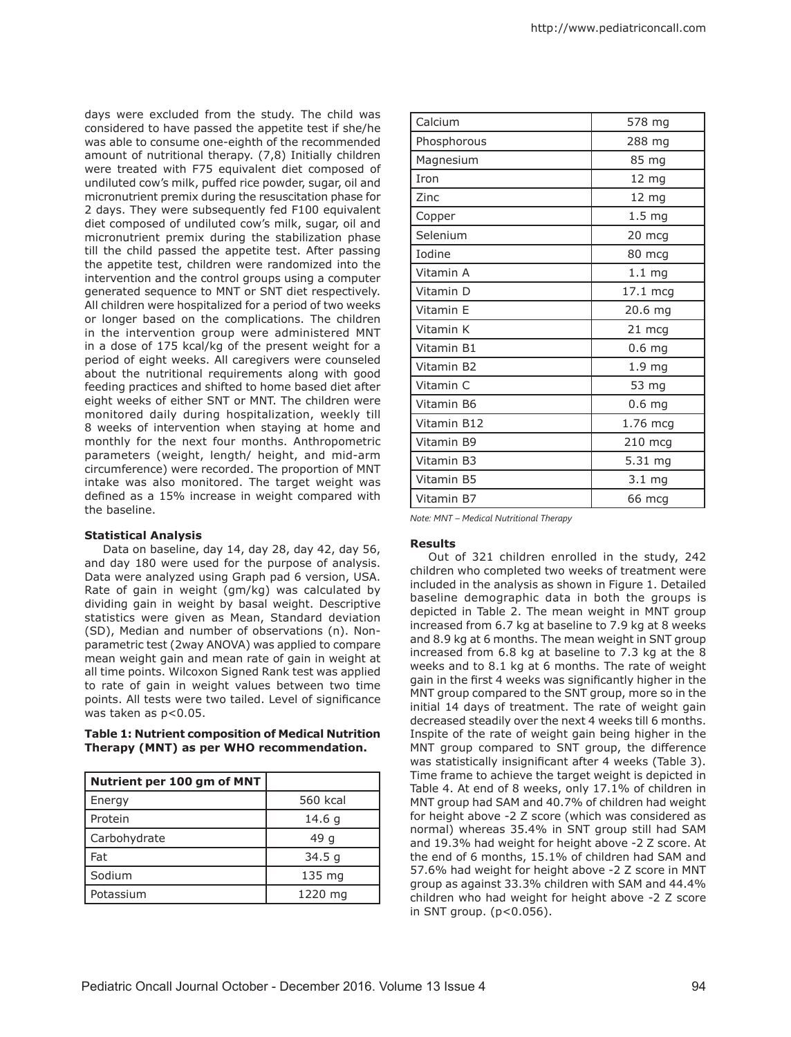days were excluded from the study. The child was considered to have passed the appetite test if she/he was able to consume one-eighth of the recommended amount of nutritional therapy. (7,8) Initially children were treated with F75 equivalent diet composed of undiluted cow's milk, puffed rice powder, sugar, oil and micronutrient premix during the resuscitation phase for 2 days. They were subsequently fed F100 equivalent diet composed of undiluted cow's milk, sugar, oil and micronutrient premix during the stabilization phase till the child passed the appetite test. After passing the appetite test, children were randomized into the intervention and the control groups using a computer generated sequence to MNT or SNT diet respectively. All children were hospitalized for a period of two weeks or longer based on the complications. The children in the intervention group were administered MNT in a dose of 175 kcal/kg of the present weight for a period of eight weeks. All caregivers were counseled about the nutritional requirements along with good feeding practices and shifted to home based diet after eight weeks of either SNT or MNT. The children were monitored daily during hospitalization, weekly till 8 weeks of intervention when staying at home and monthly for the next four months. Anthropometric parameters (weight, length/ height, and mid-arm circumference) were recorded. The proportion of MNT intake was also monitored. The target weight was defined as a 15% increase in weight compared with the baseline.

### **Statistical Analysis**

Data on baseline, day 14, day 28, day 42, day 56, and day 180 were used for the purpose of analysis. Data were analyzed using Graph pad 6 version, USA. Rate of gain in weight (gm/kg) was calculated by dividing gain in weight by basal weight. Descriptive statistics were given as Mean, Standard deviation (SD), Median and number of observations (n). Nonparametric test (2way ANOVA) was applied to compare mean weight gain and mean rate of gain in weight at all time points. Wilcoxon Signed Rank test was applied to rate of gain in weight values between two time points. All tests were two tailed. Level of significance was taken as p<0.05.

## **Table 1: Nutrient composition of Medical Nutrition Therapy (MNT) as per WHO recommendation.**

| Nutrient per 100 gm of MNT |          |
|----------------------------|----------|
| Energy                     | 560 kcal |
| Protein                    | 14.6 g   |
| Carbohydrate               | 49 g     |
| Fat                        | 34.5 g   |
| Sodium                     | 135 mg   |
| Potassium                  | 1220 mg  |

| Calcium     | 578 mg            |  |
|-------------|-------------------|--|
| Phosphorous | 288 mg            |  |
| Magnesium   | 85 mg             |  |
| Iron        | $12 \text{ mg}$   |  |
| Zinc        | 12 mg             |  |
| Copper      | 1.5 <sub>mg</sub> |  |
| Selenium    | 20 mcg            |  |
| Iodine      | 80 mcg            |  |
| Vitamin A   | 1.1 <sub>mg</sub> |  |
| Vitamin D   | 17.1 mcg          |  |
| Vitamin E   | 20.6 mg           |  |
| Vitamin K   | 21 mcg            |  |
| Vitamin B1  | 0.6 <sub>mg</sub> |  |
| Vitamin B2  | 1.9 <sub>mg</sub> |  |
| Vitamin C   | 53 mg             |  |
| Vitamin B6  | 0.6 <sub>mg</sub> |  |
| Vitamin B12 | 1.76 mcg          |  |
| Vitamin B9  | 210 mcg           |  |
| Vitamin B3  | 5.31 mg           |  |
| Vitamin B5  | 3.1 <sub>mg</sub> |  |
| Vitamin B7  | 66 mcg            |  |

*Note: MNT – Medical Nutritional Therapy*

### **Results**

Out of 321 children enrolled in the study, 242 children who completed two weeks of treatment were included in the analysis as shown in Figure 1. Detailed baseline demographic data in both the groups is depicted in Table 2. The mean weight in MNT group increased from 6.7 kg at baseline to 7.9 kg at 8 weeks and 8.9 kg at 6 months. The mean weight in SNT group increased from 6.8 kg at baseline to 7.3 kg at the 8 weeks and to 8.1 kg at 6 months. The rate of weight gain in the first 4 weeks was significantly higher in the MNT group compared to the SNT group, more so in the initial 14 days of treatment. The rate of weight gain decreased steadily over the next 4 weeks till 6 months. Inspite of the rate of weight gain being higher in the MNT group compared to SNT group, the difference was statistically insignificant after 4 weeks (Table 3). Time frame to achieve the target weight is depicted in Table 4. At end of 8 weeks, only 17.1% of children in MNT group had SAM and 40.7% of children had weight for height above -2 Z score (which was considered as normal) whereas 35.4% in SNT group still had SAM and 19.3% had weight for height above -2 Z score. At the end of 6 months, 15.1% of children had SAM and 57.6% had weight for height above -2 Z score in MNT group as against 33.3% children with SAM and 44.4% children who had weight for height above -2 Z score in SNT group.  $(p<0.056)$ .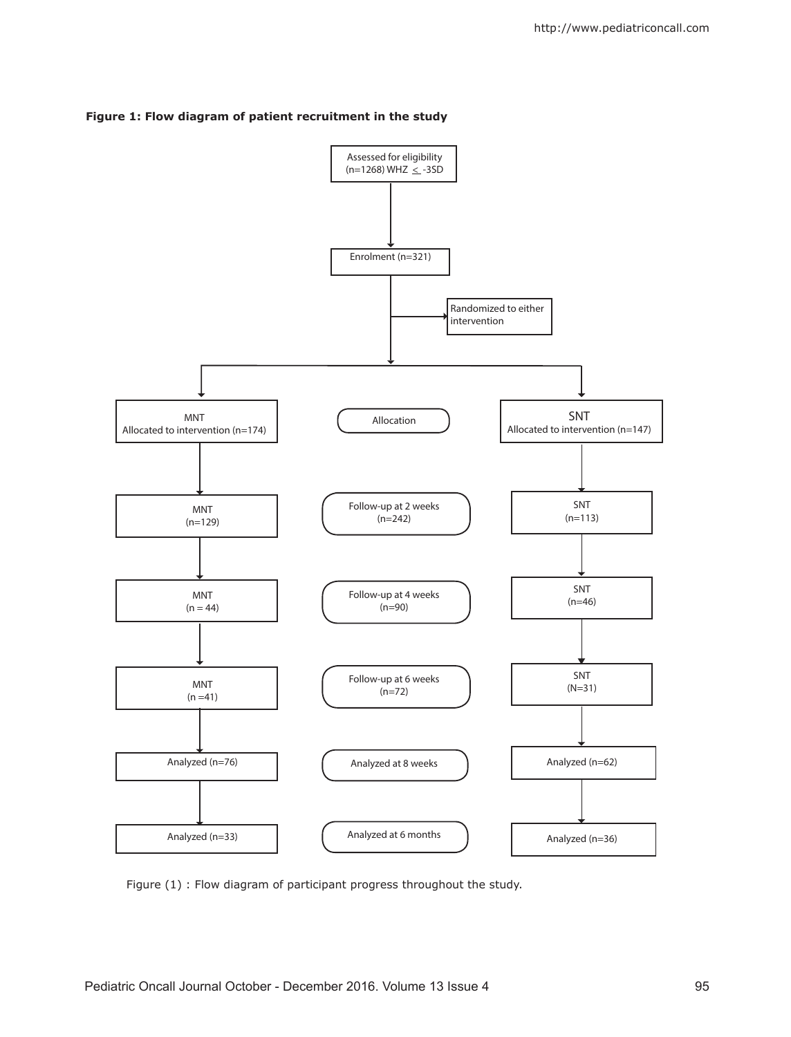



Figure (1) : Flow diagram of participant progress throughout the study.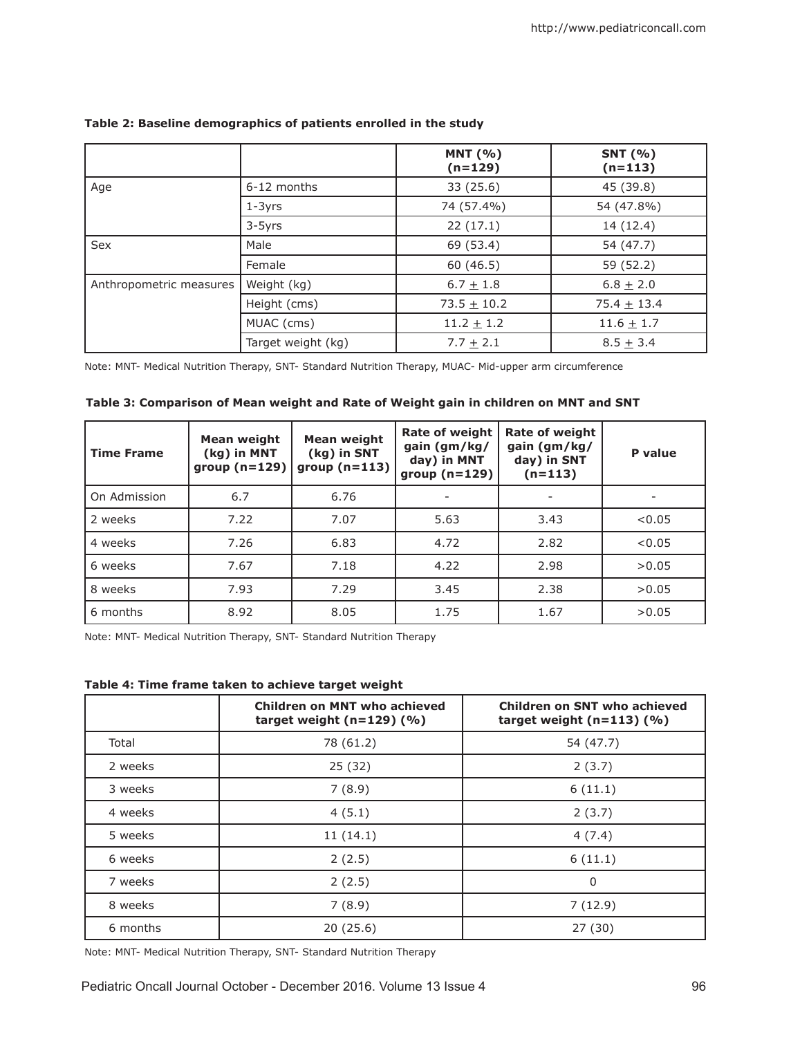|                         |                    | <b>MNT</b> (%)<br>$(n=129)$ | <b>SNT</b> (%)<br>$(n=113)$ |
|-------------------------|--------------------|-----------------------------|-----------------------------|
| Age                     | 6-12 months        | 33 (25.6)                   | 45 (39.8)                   |
|                         | $1-3yrs$           | 74 (57.4%)                  | 54 (47.8%)                  |
|                         | 3-5yrs             | 22(17.1)                    | 14 (12.4)                   |
| Sex                     | Male               | 69 (53.4)                   | 54 (47.7)                   |
|                         | Female             | 60(46.5)                    | 59 (52.2)                   |
| Anthropometric measures | Weight (kg)        | $6.7 + 1.8$                 | $6.8 + 2.0$                 |
|                         | Height (cms)       | $73.5 + 10.2$               | $75.4 + 13.4$               |
|                         | MUAC (cms)         | $11.2 \pm 1.2$              | $11.6 \pm 1.7$              |
|                         | Target weight (kg) | $7.7 + 2.1$                 | $8.5 + 3.4$                 |

# **Table 2: Baseline demographics of patients enrolled in the study**

Note: MNT- Medical Nutrition Therapy, SNT- Standard Nutrition Therapy, MUAC- Mid-upper arm circumference

| Table 3: Comparison of Mean weight and Rate of Weight gain in children on MNT and SNT |  |  |  |
|---------------------------------------------------------------------------------------|--|--|--|
|---------------------------------------------------------------------------------------|--|--|--|

| <b>Time Frame</b> | Mean weight<br>(kg) in MNT<br>group $(n=129)$ | Mean weight<br>(kg) in SNT<br>group $(n=113)$ | <b>Rate of weight</b><br>gain (gm/kg/<br>day) in MNT<br>group $(n=129)$ | <b>Rate of weight</b><br>gain (gm/kg/<br>day) in SNT<br>$(n=113)$ | P value |
|-------------------|-----------------------------------------------|-----------------------------------------------|-------------------------------------------------------------------------|-------------------------------------------------------------------|---------|
| On Admission      | 6.7                                           | 6.76                                          |                                                                         |                                                                   |         |
| 2 weeks           | 7.22                                          | 7.07                                          | 5.63                                                                    | 3.43                                                              | < 0.05  |
| 4 weeks           | 7.26                                          | 6.83                                          | 4.72                                                                    | 2.82                                                              | < 0.05  |
| 6 weeks           | 7.67                                          | 7.18                                          | 4.22                                                                    | 2.98                                                              | >0.05   |
| 8 weeks           | 7.93                                          | 7.29                                          | 3.45                                                                    | 2.38                                                              | >0.05   |
| 6 months          | 8.92                                          | 8.05                                          | 1.75                                                                    | 1.67                                                              | >0.05   |

Note: MNT- Medical Nutrition Therapy, SNT- Standard Nutrition Therapy

**Table 4: Time frame taken to achieve target weight**

|          | <b>Children on MNT who achieved</b><br>target weight $(n=129)$ (%) | <b>Children on SNT who achieved</b><br>target weight $(n=113)$ (%) |  |
|----------|--------------------------------------------------------------------|--------------------------------------------------------------------|--|
| Total    | 78 (61.2)                                                          | 54 (47.7)                                                          |  |
| 2 weeks  | 25 (32)                                                            | 2(3.7)                                                             |  |
| 3 weeks  | 7(8.9)                                                             | 6(11.1)                                                            |  |
| 4 weeks  | 4(5.1)                                                             | 2(3.7)                                                             |  |
| 5 weeks  | 11(14.1)                                                           | 4(7.4)                                                             |  |
| 6 weeks  | 2(2.5)                                                             | 6(11.1)                                                            |  |
| 7 weeks  | 2(2.5)                                                             | $\Omega$                                                           |  |
| 8 weeks  | 7(8.9)                                                             | 7(12.9)                                                            |  |
| 6 months | 20(25.6)                                                           | 27 (30)                                                            |  |

Note: MNT- Medical Nutrition Therapy, SNT- Standard Nutrition Therapy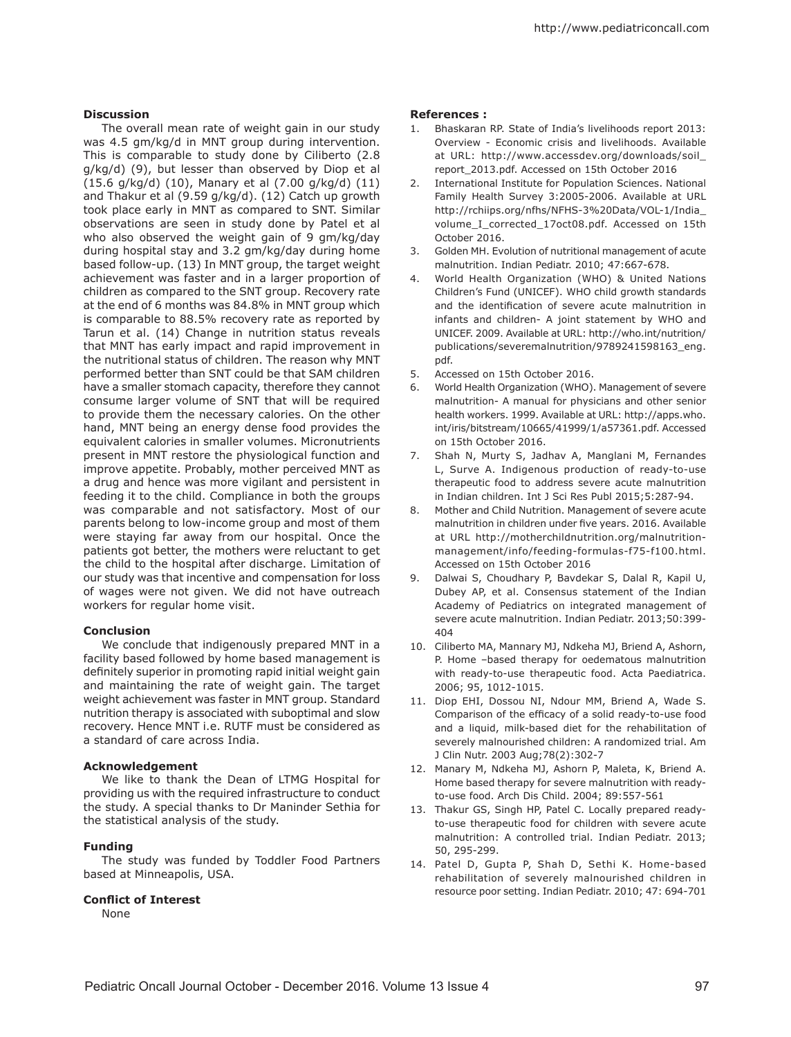## **Discussion**

The overall mean rate of weight gain in our study was 4.5 gm/kg/d in MNT group during intervention. This is comparable to study done by Ciliberto (2.8 g/kg/d) (9), but lesser than observed by Diop et al (15.6 g/kg/d) (10), Manary et al (7.00 g/kg/d) (11) and Thakur et al (9.59 g/kg/d). (12) Catch up growth took place early in MNT as compared to SNT. Similar observations are seen in study done by Patel et al who also observed the weight gain of 9 gm/kg/day during hospital stay and 3.2 gm/kg/day during home based follow-up. (13) In MNT group, the target weight achievement was faster and in a larger proportion of children as compared to the SNT group. Recovery rate at the end of 6 months was 84.8% in MNT group which is comparable to 88.5% recovery rate as reported by Tarun et al. (14) Change in nutrition status reveals that MNT has early impact and rapid improvement in the nutritional status of children. The reason why MNT performed better than SNT could be that SAM children have a smaller stomach capacity, therefore they cannot consume larger volume of SNT that will be required to provide them the necessary calories. On the other hand, MNT being an energy dense food provides the equivalent calories in smaller volumes. Micronutrients present in MNT restore the physiological function and improve appetite. Probably, mother perceived MNT as a drug and hence was more vigilant and persistent in feeding it to the child. Compliance in both the groups was comparable and not satisfactory. Most of our parents belong to low-income group and most of them were staying far away from our hospital. Once the patients got better, the mothers were reluctant to get the child to the hospital after discharge. Limitation of our study was that incentive and compensation for loss of wages were not given. We did not have outreach workers for regular home visit.

### **Conclusion**

We conclude that indigenously prepared MNT in a facility based followed by home based management is definitely superior in promoting rapid initial weight gain and maintaining the rate of weight gain. The target weight achievement was faster in MNT group. Standard nutrition therapy is associated with suboptimal and slow recovery. Hence MNT i.e. RUTF must be considered as a standard of care across India.

### **Acknowledgement**

We like to thank the Dean of LTMG Hospital for providing us with the required infrastructure to conduct the study. A special thanks to Dr Maninder Sethia for the statistical analysis of the study.

# **Funding**

The study was funded by Toddler Food Partners based at Minneapolis, USA.

# **Conflict of Interest**

None

### **References :**

- 1. Bhaskaran RP. State of India's livelihoods report 2013: Overview - Economic crisis and livelihoods. Available at URL: http://www.accessdev.org/downloads/soil\_ report\_2013.pdf. Accessed on 15th October 2016
- 2. International Institute for Population Sciences. National Family Health Survey 3:2005-2006. Available at URL http://rchiips.org/nfhs/NFHS-3%20Data/VOL-1/India\_ volume\_I\_corrected\_17oct08.pdf. Accessed on 15th October 2016.
- 3. Golden MH. Evolution of nutritional management of acute malnutrition. Indian Pediatr. 2010; 47:667-678.
- 4. World Health Organization (WHO) & United Nations Children's Fund (UNICEF). WHO child growth standards and the identification of severe acute malnutrition in infants and children- A joint statement by WHO and UNICEF. 2009. Available at URL: http://who.int/nutrition/ publications/severemalnutrition/9789241598163\_eng. pdf.
- 5. Accessed on 15th October 2016.
- 6. World Health Organization (WHO). Management of severe malnutrition- A manual for physicians and other senior health workers. 1999. Available at URL: http://apps.who. int/iris/bitstream/10665/41999/1/a57361.pdf. Accessed on 15th October 2016.
- 7. Shah N, Murty S, Jadhav A, Manglani M, Fernandes L, Surve A. Indigenous production of ready-to-use therapeutic food to address severe acute malnutrition in Indian children. Int J Sci Res Publ 2015;5:287-94.
- 8. Mother and Child Nutrition. Management of severe acute malnutrition in children under five years. 2016. Available at URL http://motherchildnutrition.org/malnutritionmanagement/info/feeding-formulas-f75-f100.html. Accessed on 15th October 2016
- 9. Dalwai S, Choudhary P, Bavdekar S, Dalal R, Kapil U, Dubey AP, et al. Consensus statement of the Indian Academy of Pediatrics on integrated management of severe acute malnutrition. Indian Pediatr. 2013;50:399- 404
- 10. Ciliberto MA, Mannary MJ, Ndkeha MJ, Briend A, Ashorn, P. Home –based therapy for oedematous malnutrition with ready-to-use therapeutic food. Acta Paediatrica. 2006; 95, 1012-1015.
- 11. Diop EHI, Dossou NI, Ndour MM, Briend A, Wade S. Comparison of the efficacy of a solid ready-to-use food and a liquid, milk-based diet for the rehabilitation of severely malnourished children: A randomized trial. Am J Clin Nutr. 2003 Aug;78(2):302-7
- 12. Manary M, Ndkeha MJ, Ashorn P, Maleta, K, Briend A. Home based therapy for severe malnutrition with readyto-use food. Arch Dis Child. 2004; 89:557-561
- 13. Thakur GS, Singh HP, Patel C. Locally prepared readyto-use therapeutic food for children with severe acute malnutrition: A controlled trial. Indian Pediatr. 2013; 50, 295-299.
- 14. Patel D, Gupta P, Shah D, Sethi K. Home-based rehabilitation of severely malnourished children in resource poor setting. Indian Pediatr. 2010; 47: 694-701